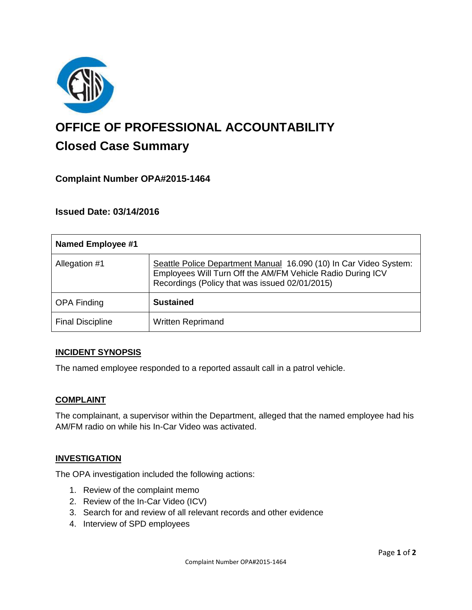

# **OFFICE OF PROFESSIONAL ACCOUNTABILITY Closed Case Summary**

## **Complaint Number OPA#2015-1464**

**Issued Date: 03/14/2016**

| <b>Named Employee #1</b> |                                                                                                                                                                                   |
|--------------------------|-----------------------------------------------------------------------------------------------------------------------------------------------------------------------------------|
| Allegation #1            | Seattle Police Department Manual 16.090 (10) In Car Video System:<br>Employees Will Turn Off the AM/FM Vehicle Radio During ICV<br>Recordings (Policy that was issued 02/01/2015) |
| <b>OPA Finding</b>       | <b>Sustained</b>                                                                                                                                                                  |
| <b>Final Discipline</b>  | <b>Written Reprimand</b>                                                                                                                                                          |

### **INCIDENT SYNOPSIS**

The named employee responded to a reported assault call in a patrol vehicle.

#### **COMPLAINT**

The complainant, a supervisor within the Department, alleged that the named employee had his AM/FM radio on while his In-Car Video was activated.

### **INVESTIGATION**

The OPA investigation included the following actions:

- 1. Review of the complaint memo
- 2. Review of the In-Car Video (ICV)
- 3. Search for and review of all relevant records and other evidence
- 4. Interview of SPD employees